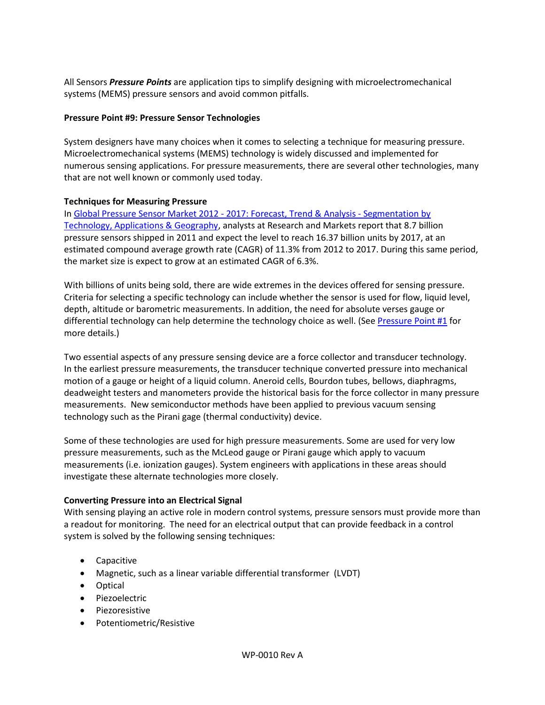All Sensors *Pressure Points* are application tips to simplify designing with microelectromechanical systems (MEMS) pressure sensors and avoid common pitfalls.

## **Pressure Point #9: Pressure Sensor Technologies**

System designers have many choices when it comes to selecting a technique for measuring pressure. Microelectromechanical systems (MEMS) technology is widely discussed and implemented for numerous sensing applications. For pressure measurements, there are several other technologies, many that are not well known or commonly used today.

## **Techniques for Measuring Pressure**

In [Global Pressure Sensor Market 2012 -](http://www.prnewswire.com/news-releases/global-pressure-sensor-market-2012---2017-forecast-trend--analysis---segmentation-by-technology-applications--geography-225519202.html) 2017: Forecast, Trend & Analysis - Segmentation by [Technology, Applications & Geography,](http://www.prnewswire.com/news-releases/global-pressure-sensor-market-2012---2017-forecast-trend--analysis---segmentation-by-technology-applications--geography-225519202.html) analysts at Research and Markets report that 8.7 billion pressure sensors shipped in 2011 and expect the level to reach 16.37 billion units by 2017, at an estimated compound average growth rate (CAGR) of 11.3% from 2012 to 2017. During this same period, the market size is expect to grow at an estimated CAGR of 6.3%.

With billions of units being sold, there are wide extremes in the devices offered for sensing pressure. Criteria for selecting a specific technology can include whether the sensor is used for flow, liquid level, depth, altitude or barometric measurements. In addition, the need for absolute verses gauge or differential technology can help determine the technology choice as well. (See [Pressure Point #1](http://www.allsensors.com/engineering-resources/white-papers) for more details.)

Two essential aspects of any pressure sensing device are a force collector and transducer technology. In the earliest pressure measurements, the transducer technique converted pressure into mechanical motion of a gauge or height of a liquid column. Aneroid cells, Bourdon tubes, bellows, diaphragms, deadweight testers and manometers provide the historical basis for the force collector in many pressure measurements. New semiconductor methods have been applied to previous vacuum sensing technology such as the Pirani gage (thermal conductivity) device.

Some of these technologies are used for high pressure measurements. Some are used for very low pressure measurements, such as the McLeod gauge or Pirani gauge which apply to vacuum measurements (i.e. ionization gauges). System engineers with applications in these areas should investigate these alternate technologies more closely.

# **Converting Pressure into an Electrical Signal**

With sensing playing an active role in modern control systems, pressure sensors must provide more than a readout for monitoring. The need for an electrical output that can provide feedback in a control system is solved by the following sensing techniques:

- Capacitive
- Magnetic, such as a linear variable differential transformer (LVDT)
- Optical
- Piezoelectric
- Piezoresistive
- Potentiometric/Resistive